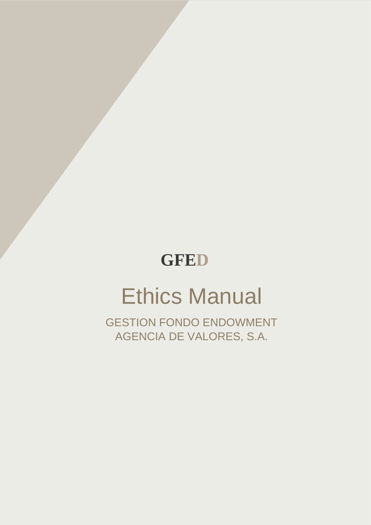# **GFED**

Manual Ético George Cartes de la Cartes de la Cartes de la Cartes de la Cartes de la Cartes de la Cartes de la

# Ethics Manual

GESTION FONDO ENDOWMENT AGENCIA DE VALORES, S.A.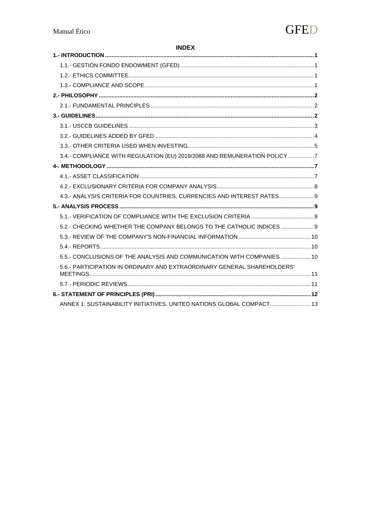#### **INDEX**

| 3.4.- COMPLIANCE WITH REGULATION (EU) 2019/2088 AND REMUNERATION POLICY7 |  |
|--------------------------------------------------------------------------|--|
|                                                                          |  |
|                                                                          |  |
|                                                                          |  |
| 4.3.- ANALYSIS CRITERIA FOR COUNTRIES, CURRENCIES AND INTEREST RATES 9   |  |
|                                                                          |  |
|                                                                          |  |
| 5.2.- CHECKING WHETHER THE COMPANY BELONGS TO THE CATHOLIC INDICES  9    |  |
|                                                                          |  |
|                                                                          |  |
| 5.5.- CONCLUSIONS OF THE ANALYSIS AND COMMUNICATION WITH COMPANIES  10   |  |
| 5.6.- PARTICIPATION IN ORDINARY AND EXTRAORDINARY GENERAL SHAREHOLDERS'  |  |
|                                                                          |  |
|                                                                          |  |
| ANNEX 1: SUSTAINABILITY INITIATIVES. UNITED NATIONS GLOBAL COMPACT 13    |  |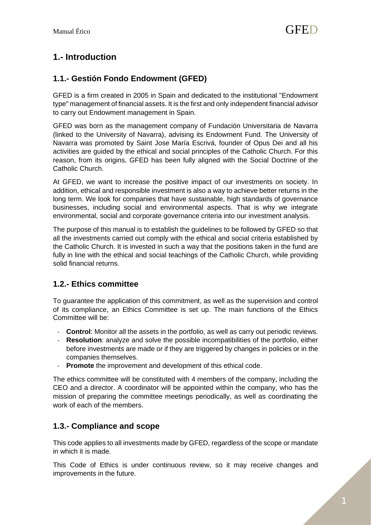# <span id="page-2-0"></span>**1.- Introduction**

# <span id="page-2-1"></span>**1.1.- Gestión Fondo Endowment (GFED)**

GFED is a firm created in 2005 in Spain and dedicated to the institutional "Endowment type" management of financial assets. It is the first and only independent financial advisor to carry out Endowment management in Spain.

GFED was born as the management company of Fundación Universitaria de Navarra (linked to the University of Navarra), advising its Endowment Fund. The University of Navarra was promoted by Saint Jose María Escrivá, founder of Opus Dei and all his activities are guided by the ethical and social principles of the Catholic Church. For this reason, from its origins, GFED has been fully aligned with the Social Doctrine of the Catholic Church.

At GFED, we want to increase the positive impact of our investments on society. In addition, ethical and responsible investment is also a way to achieve better returns in the long term. We look for companies that have sustainable, high standards of governance businesses, including social and environmental aspects. That is why we integrate environmental, social and corporate governance criteria into our investment analysis.

The purpose of this manual is to establish the guidelines to be followed by GFED so that all the investments carried out comply with the ethical and social criteria established by the Catholic Church. It is invested in such a way that the positions taken in the fund are fully in line with the ethical and social teachings of the Catholic Church, while providing solid financial returns.

# <span id="page-2-2"></span>**1.2.- Ethics committee**

To guarantee the application of this commitment, as well as the supervision and control of its compliance, an Ethics Committee is set up. The main functions of the Ethics Committee will be:

- **Control**: Monitor all the assets in the portfolio, as well as carry out periodic reviews.
- **Resolution**: analyze and solve the possible incompatibilities of the portfolio, either before investments are made or if they are triggered by changes in policies or in the companies themselves.
- **Promote** the improvement and development of this ethical code.

The ethics committee will be constituted with 4 members of the company, including the CEO and a director. A coordinator will be appointed within the company, who has the mission of preparing the committee meetings periodically, as well as coordinating the work of each of the members.

# <span id="page-2-3"></span>**1.3.- Compliance and scope**

This code applies to all investments made by GFED, regardless of the scope or mandate in which it is made.

This Code of Ethics is under continuous review, so it may receive changes and improvements in the future.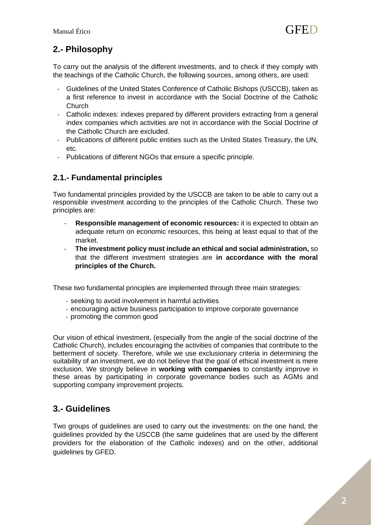# <span id="page-3-0"></span>**2.- Philosophy**

To carry out the analysis of the different investments, and to check if they comply with the teachings of the Catholic Church, the following sources, among others, are used:

- Guidelines of the United States Conference of Catholic Bishops (USCCB), taken as a first reference to invest in accordance with the Social Doctrine of the Catholic Church
- Catholic indexes: indexes prepared by different providers extracting from a general index companies which activities are not in accordance with the Social Doctrine of the Catholic Church are excluded.
- Publications of different public entities such as the United States Treasury, the UN, etc.
- Publications of different NGOs that ensure a specific principle.

# <span id="page-3-1"></span>**2.1.- Fundamental principles**

Two fundamental principles provided by the USCCB are taken to be able to carry out a responsible investment according to the principles of the Catholic Church. These two principles are:

- **Responsible management of economic resources:** it is expected to obtain an adequate return on economic resources, this being at least equal to that of the market.
- **The investment policy must include an ethical and social administration,** so that the different investment strategies are **in accordance with the moral principles of the Church.**

These two fundamental principles are implemented through three main strategies:

- seeking to avoid involvement in harmful activities
- encouraging active business participation to improve corporate governance
- promoting the common good

Our vision of ethical investment, (especially from the angle of the social doctrine of the Catholic Church), includes encouraging the activities of companies that contribute to the betterment of society. Therefore, while we use exclusionary criteria in determining the suitability of an investment, we do not believe that the goal of ethical investment is mere exclusion. We strongly believe in **working with companies** to constantly improve in these areas by participating in corporate governance bodies such as AGMs and supporting company improvement projects.

# <span id="page-3-2"></span>**3.- Guidelines**

Two groups of guidelines are used to carry out the investments: on the one hand, the guidelines provided by the USCCB (the same guidelines that are used by the different providers for the elaboration of the Catholic indexes) and on the other, additional guidelines by GFED.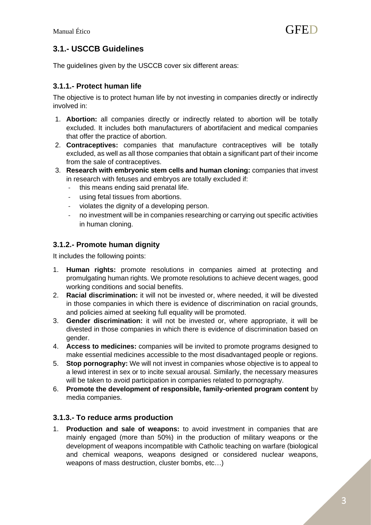# <span id="page-4-0"></span>**3.1.- USCCB Guidelines**

The guidelines given by the USCCB cover six different areas:

#### **3.1.1.- Protect human life**

The objective is to protect human life by not investing in companies directly or indirectly involved in:

- 1. **Abortion:** all companies directly or indirectly related to abortion will be totally excluded. It includes both manufacturers of abortifacient and medical companies that offer the practice of abortion.
- 2. **Contraceptives:** companies that manufacture contraceptives will be totally excluded, as well as all those companies that obtain a significant part of their income from the sale of contraceptives.
- 3. **Research with embryonic stem cells and human cloning:** companies that invest in research with fetuses and embryos are totally excluded if:
	- this means ending said prenatal life.
	- using fetal tissues from abortions.
	- violates the dignity of a developing person.
	- no investment will be in companies researching or carrying out specific activities in human cloning.

#### **3.1.2.- Promote human dignity**

It includes the following points:

- 1. **Human rights:** promote resolutions in companies aimed at protecting and promulgating human rights. We promote resolutions to achieve decent wages, good working conditions and social benefits.
- 2. **Racial discrimination:** it will not be invested or, where needed, it will be divested in those companies in which there is evidence of discrimination on racial grounds, and policies aimed at seeking full equality will be promoted.
- 3. **Gender discrimination:** it will not be invested or, where appropriate, it will be divested in those companies in which there is evidence of discrimination based on gender.
- 4. **Access to medicines:** companies will be invited to promote programs designed to make essential medicines accessible to the most disadvantaged people or regions.
- 5. **Stop pornography:** We will not invest in companies whose objective is to appeal to a lewd interest in sex or to incite sexual arousal. Similarly, the necessary measures will be taken to avoid participation in companies related to pornography.
- 6. **Promote the development of responsible, family-oriented program content** by media companies.

#### **3.1.3.- To reduce arms production**

1. **Production and sale of weapons:** to avoid investment in companies that are mainly engaged (more than 50%) in the production of military weapons or the development of weapons incompatible with Catholic teaching on warfare (biological and chemical weapons, weapons designed or considered nuclear weapons, weapons of mass destruction, cluster bombs, etc…)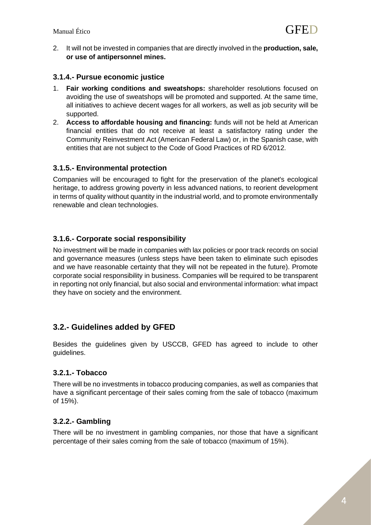2. It will not be invested in companies that are directly involved in the **production, sale, or use of antipersonnel mines.**

#### **3.1.4.- Pursue economic justice**

- 1. **Fair working conditions and sweatshops:** shareholder resolutions focused on avoiding the use of sweatshops will be promoted and supported. At the same time, all initiatives to achieve decent wages for all workers, as well as job security will be supported.
- 2. **Access to affordable housing and financing:** funds will not be held at American financial entities that do not receive at least a satisfactory rating under the Community Reinvestment Act (American Federal Law) or, in the Spanish case, with entities that are not subject to the Code of Good Practices of RD 6/2012.

#### **3.1.5.- Environmental protection**

Companies will be encouraged to fight for the preservation of the planet's ecological heritage, to address growing poverty in less advanced nations, to reorient development in terms of quality without quantity in the industrial world, and to promote environmentally renewable and clean technologies.

#### **3.1.6.- Corporate social responsibility**

No investment will be made in companies with lax policies or poor track records on social and governance measures (unless steps have been taken to eliminate such episodes and we have reasonable certainty that they will not be repeated in the future). Promote corporate social responsibility in business. Companies will be required to be transparent in reporting not only financial, but also social and environmental information: what impact they have on society and the environment.

#### <span id="page-5-0"></span>**3.2.- Guidelines added by GFED**

Besides the guidelines given by USCCB, GFED has agreed to include to other guidelines.

#### **3.2.1.- Tobacco**

There will be no investments in tobacco producing companies, as well as companies that have a significant percentage of their sales coming from the sale of tobacco (maximum of 15%).

#### **3.2.2.- Gambling**

There will be no investment in gambling companies, nor those that have a significant percentage of their sales coming from the sale of tobacco (maximum of 15%).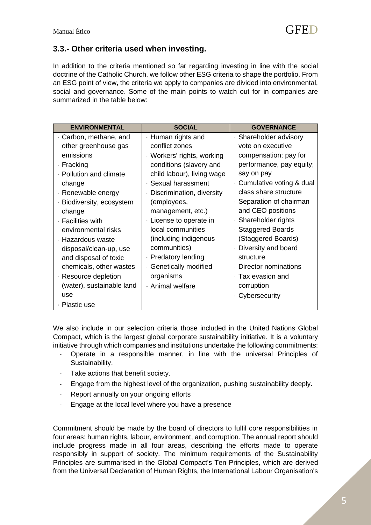# <span id="page-6-0"></span>**3.3.- Other criteria used when investing.**

In addition to the criteria mentioned so far regarding investing in line with the social doctrine of the Catholic Church, we follow other ESG criteria to shape the portfolio. From an ESG point of view, the criteria we apply to companies are divided into environmental, social and governance. Some of the main points to watch out for in companies are summarized in the table below:

| <b>ENVIRONMENTAL</b>      | <b>SOCIAL</b>                          | <b>GOVERNANCE</b>        |
|---------------------------|----------------------------------------|--------------------------|
| · Carbon, methane, and    | · Human rights and                     | · Shareholder advisory   |
| other greenhouse gas      | conflict zones                         | vote on executive        |
| emissions                 | · Workers' rights, working             | compensation; pay for    |
| · Fracking                | conditions (slavery and                | performance, pay equity; |
| · Pollution and climate   | child labour), living wage             | say on pay               |
| change                    | · Sexual harassment                    | Cumulative voting & dual |
| · Renewable energy        | Discrimination, diversity<br>$\bullet$ | class share structure    |
| · Biodiversity, ecosystem | (employees,                            | · Separation of chairman |
| change                    | management, etc.)                      | and CEO positions        |
| · Facilities with         | License to operate in                  | · Shareholder rights     |
| environmental risks       | local communities                      | · Staggered Boards       |
| · Hazardous waste         | (including indigenous                  | (Staggered Boards)       |
| disposal/clean-up, use    | communities)                           | · Diversity and board    |
| and disposal of toxic     | · Predatory lending                    | structure                |
| chemicals, other wastes   | · Genetically modified                 | Director nominations     |
| · Resource depletion      | organisms                              | $\cdot$ Tax evasion and  |
| (water), sustainable land | · Animal welfare                       | corruption               |
| use                       |                                        | ⋅ Cybersecurity          |
| · Plastic use             |                                        |                          |

We also include in our selection criteria those included in the United Nations Global Compact, which is the largest global corporate sustainability initiative. It is a voluntary initiative through which companies and institutions undertake the following commitments:

- Operate in a responsible manner, in line with the universal Principles of Sustainability.
- Take actions that benefit society.
- Engage from the highest level of the organization, pushing sustainability deeply.
- Report annually on your ongoing efforts
- Engage at the local level where you have a presence

Commitment should be made by the board of directors to fulfil core responsibilities in four areas: human rights, labour, environment, and corruption. The annual report should include progress made in all four areas, describing the efforts made to operate responsibly in support of society. The minimum requirements of the Sustainability Principles are summarised in the Global Compact's Ten Principles, which are derived from the Universal Declaration of Human Rights, the International Labour Organisation's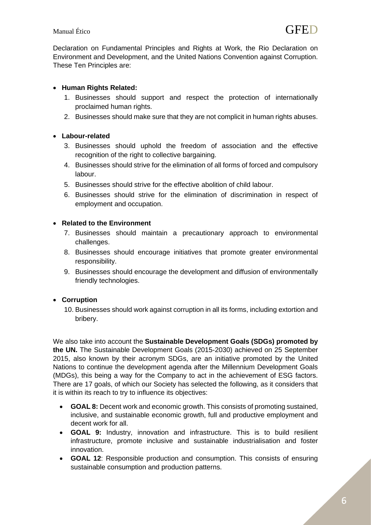Declaration on Fundamental Principles and Rights at Work, the Rio Declaration on Environment and Development, and the United Nations Convention against Corruption. These Ten Principles are:

#### • **Human Rights Related:**

- 1. Businesses should support and respect the protection of internationally proclaimed human rights.
- 2. Businesses should make sure that they are not complicit in human rights abuses.

#### • **Labour-related**

- 3. Businesses should uphold the freedom of association and the effective recognition of the right to collective bargaining.
- 4. Businesses should strive for the elimination of all forms of forced and compulsory labour.
- 5. Businesses should strive for the effective abolition of child labour.
- 6. Businesses should strive for the elimination of discrimination in respect of employment and occupation.

#### • **Related to the Environment**

- 7. Businesses should maintain a precautionary approach to environmental challenges.
- 8. Businesses should encourage initiatives that promote greater environmental responsibility.
- 9. Businesses should encourage the development and diffusion of environmentally friendly technologies.

#### • **Corruption**

10. Businesses should work against corruption in all its forms, including extortion and bribery.

We also take into account the **Sustainable Development Goals (SDGs) promoted by the UN.** The Sustainable Development Goals (2015-2030) achieved on 25 September 2015, also known by their acronym SDGs, are an initiative promoted by the United Nations to continue the development agenda after the Millennium Development Goals (MDGs), this being a way for the Company to act in the achievement of ESG factors. There are 17 goals, of which our Society has selected the following, as it considers that it is within its reach to try to influence its objectives:

- **GOAL 8:** Decent work and economic growth. This consists of promoting sustained, inclusive, and sustainable economic growth, full and productive employment and decent work for all.
- **GOAL 9:** Industry, innovation and infrastructure. This is to build resilient infrastructure, promote inclusive and sustainable industrialisation and foster innovation.
- **GOAL 12**: Responsible production and consumption. This consists of ensuring sustainable consumption and production patterns.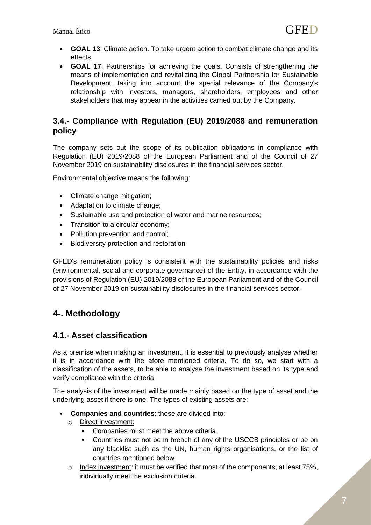- **GOAL 13**: Climate action. To take urgent action to combat climate change and its effects.
- **GOAL 17**: Partnerships for achieving the goals. Consists of strengthening the means of implementation and revitalizing the Global Partnership for Sustainable Development, taking into account the special relevance of the Company's relationship with investors, managers, shareholders, employees and other stakeholders that may appear in the activities carried out by the Company.

# <span id="page-8-0"></span>**3.4.- Compliance with Regulation (EU) 2019/2088 and remuneration policy**

The company sets out the scope of its publication obligations in compliance with Regulation (EU) 2019/2088 of the European Parliament and of the Council of 27 November 2019 on sustainability disclosures in the financial services sector.

Environmental objective means the following:

- Climate change mitigation;
- Adaptation to climate change;
- Sustainable use and protection of water and marine resources;
- Transition to a circular economy;
- Pollution prevention and control;
- Biodiversity protection and restoration

GFED's remuneration policy is consistent with the sustainability policies and risks (environmental, social and corporate governance) of the Entity, in accordance with the provisions of Regulation (EU) 2019/2088 of the European Parliament and of the Council of 27 November 2019 on sustainability disclosures in the financial services sector.

# <span id="page-8-1"></span>**4-. Methodology**

#### <span id="page-8-2"></span>**4.1.- Asset classification**

As a premise when making an investment, it is essential to previously analyse whether it is in accordance with the afore mentioned criteria. To do so, we start with a classification of the assets, to be able to analyse the investment based on its type and verify compliance with the criteria.

The analysis of the investment will be made mainly based on the type of asset and the underlying asset if there is one. The types of existing assets are:

- **Companies and countries**: those are divided into:
	- o Direct investment:
		- **Companies must meet the above criteria.**
		- Countries must not be in breach of any of the USCCB principles or be on any blacklist such as the UN, human rights organisations, or the list of countries mentioned below.
	- $\circ$  Index investment: it must be verified that most of the components, at least 75%, individually meet the exclusion criteria.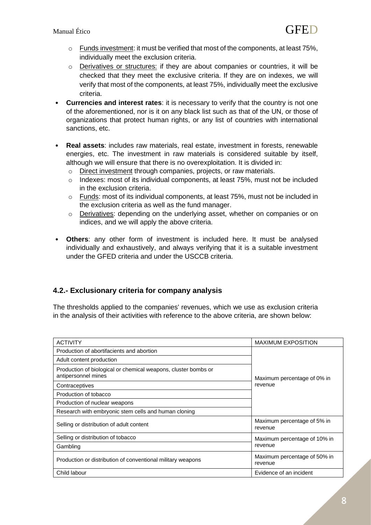- o Funds investment: it must be verified that most of the components, at least 75%, individually meet the exclusion criteria.
- $\circ$  Derivatives or structures: if they are about companies or countries, it will be checked that they meet the exclusive criteria. If they are on indexes, we will verify that most of the components, at least 75%, individually meet the exclusive criteria.
- **Currencies and interest rates**: it is necessary to verify that the country is not one of the aforementioned, nor is it on any black list such as that of the UN, or those of organizations that protect human rights, or any list of countries with international sanctions, etc.
- **Real assets**: includes raw materials, real estate, investment in forests, renewable energies, etc. The investment in raw materials is considered suitable by itself, although we will ensure that there is no overexploitation. It is divided in:
	- o Direct investment through companies, projects, or raw materials.
	- o Indexes: most of its individual components, at least 75%, must not be included in the exclusion criteria.
	- $\circ$  Funds: most of its individual components, at least 75%, must not be included in the exclusion criteria as well as the fund manager.
	- o Derivatives: depending on the underlying asset, whether on companies or on indices, and we will apply the above criteria.
- **Others**: any other form of investment is included here. It must be analysed individually and exhaustively, and always verifying that it is a suitable investment under the GFED criteria and under the USCCB criteria.

#### <span id="page-9-0"></span>**4.2.- Exclusionary criteria for company analysis**

The thresholds applied to the companies' revenues, which we use as exclusion criteria in the analysis of their activities with reference to the above criteria, are shown below:

| <b>ACTIVITY</b>                                                                       | <b>MAXIMUM EXPOSITION</b>               |  |
|---------------------------------------------------------------------------------------|-----------------------------------------|--|
| Production of abortifacients and abortion                                             | Maximum percentage of 0% in<br>revenue  |  |
| Adult content production                                                              |                                         |  |
| Production of biological or chemical weapons, cluster bombs or<br>antipersonnel mines |                                         |  |
| Contraceptives                                                                        |                                         |  |
| Production of tobacco                                                                 |                                         |  |
| Production of nuclear weapons                                                         |                                         |  |
| Research with embryonic stem cells and human cloning                                  |                                         |  |
| Selling or distribution of adult content                                              | Maximum percentage of 5% in<br>revenue  |  |
| Selling or distribution of tobacco                                                    | Maximum percentage of 10% in            |  |
| Gambling                                                                              | revenue                                 |  |
| Production or distribution of conventional military weapons                           | Maximum percentage of 50% in<br>revenue |  |
| Child labour                                                                          | Evidence of an incident                 |  |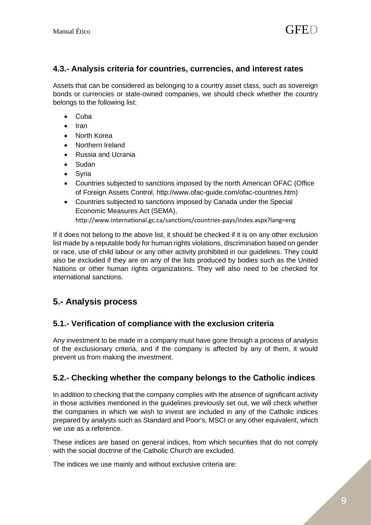## <span id="page-10-0"></span>**4.3.- Analysis criteria for countries, currencies, and interest rates**

Assets that can be considered as belonging to a country asset class, such as sovereign bonds or currencies or state-owned companies, we should check whether the country belongs to the following list:

- Cuba
- Iran
- North Korea
- Northern Ireland
- Russia and Ucrania
- Sudan
- Syria
- Countries subjected to sanctions imposed by the north American OFAC (Office of Foreign Assets Control, http://www.ofac-guide.com/ofac-countries.htm)
- Countries subjected to sanctions imposed by Canada under the Special Economic Measures Act (SEMA),

<http://www.international.gc.ca/sanctions/countries-pays/index.aspx?lang=eng>

If it does not belong to the above list, it should be checked if it is on any other exclusion list made by a reputable body for human rights violations, discrimination based on gender or race, use of child labour or any other activity prohibited in our guidelines. They could also be excluded if they are on any of the lists produced by bodies such as the United Nations or other human rights organizations. They will also need to be checked for international sanctions.

# <span id="page-10-1"></span>**5.- Analysis process**

# <span id="page-10-2"></span>**5.1.- Verification of compliance with the exclusion criteria**

Any investment to be made in a company must have gone through a process of analysis of the exclusionary criteria, and if the company is affected by any of them, it would prevent us from making the investment.

# <span id="page-10-3"></span>**5.2.- Checking whether the company belongs to the Catholic indices**

In addition to checking that the company complies with the absence of significant activity in those activities mentioned in the guidelines previously set out, we will check whether the companies in which we wish to invest are included in any of the Catholic indices prepared by analysts such as Standard and Poor's, MSCI or any other equivalent, which we use as a reference.

These indices are based on general indices, from which securities that do not comply with the social doctrine of the Catholic Church are excluded.

The indices we use mainly and without exclusive criteria are: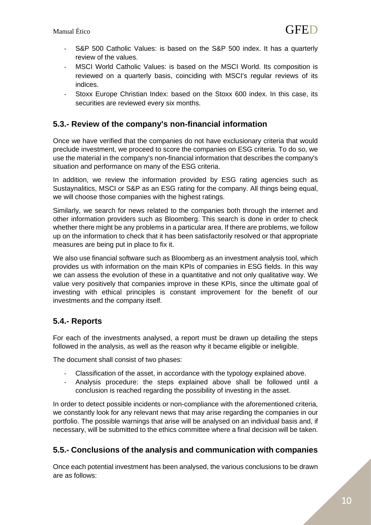- S&P 500 Catholic Values: is based on the S&P 500 index. It has a quarterly review of the values.
- MSCI World Catholic Values: is based on the MSCI World. Its composition is reviewed on a quarterly basis, coinciding with MSCI's regular reviews of its indices.
- Stoxx Europe Christian Index: based on the Stoxx 600 index. In this case, its securities are reviewed every six months.

### <span id="page-11-0"></span>**5.3.- Review of the company's non-financial information**

Once we have verified that the companies do not have exclusionary criteria that would preclude investment, we proceed to score the companies on ESG criteria. To do so, we use the material in the company's non-financial information that describes the company's situation and performance on many of the ESG criteria.

In addition, we review the information provided by ESG rating agencies such as Sustaynalitics, MSCI or S&P as an ESG rating for the company. All things being equal, we will choose those companies with the highest ratings.

Similarly, we search for news related to the companies both through the internet and other information providers such as Bloomberg. This search is done in order to check whether there might be any problems in a particular area. If there are problems, we follow up on the information to check that it has been satisfactorily resolved or that appropriate measures are being put in place to fix it.

We also use financial software such as Bloomberg as an investment analysis tool, which provides us with information on the main KPIs of companies in ESG fields. In this way we can assess the evolution of these in a quantitative and not only qualitative way. We value very positively that companies improve in these KPIs, since the ultimate goal of investing with ethical principles is constant improvement for the benefit of our investments and the company itself.

# <span id="page-11-1"></span>**5.4.- Reports**

For each of the investments analysed, a report must be drawn up detailing the steps followed in the analysis, as well as the reason why it became eligible or ineligible.

The document shall consist of two phases:

- Classification of the asset, in accordance with the typology explained above.
- Analysis procedure: the steps explained above shall be followed until a conclusion is reached regarding the possibility of investing in the asset.

In order to detect possible incidents or non-compliance with the aforementioned criteria, we constantly look for any relevant news that may arise regarding the companies in our portfolio. The possible warnings that arise will be analysed on an individual basis and, if necessary, will be submitted to the ethics committee where a final decision will be taken.

# <span id="page-11-2"></span>**5.5.- Conclusions of the analysis and communication with companies**

Once each potential investment has been analysed, the various conclusions to be drawn are as follows: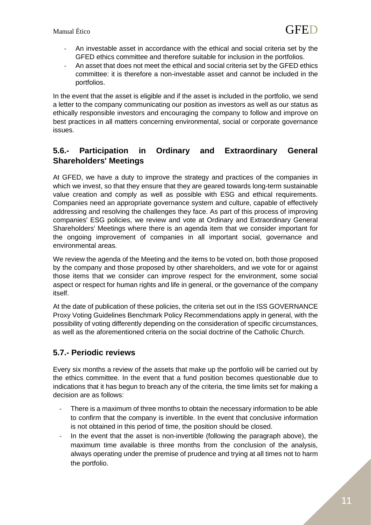- An investable asset in accordance with the ethical and social criteria set by the GFED ethics committee and therefore suitable for inclusion in the portfolios.
- An asset that does not meet the ethical and social criteria set by the GFED ethics committee: it is therefore a non-investable asset and cannot be included in the portfolios.

In the event that the asset is eligible and if the asset is included in the portfolio, we send a letter to the company communicating our position as investors as well as our status as ethically responsible investors and encouraging the company to follow and improve on best practices in all matters concerning environmental, social or corporate governance issues.

# <span id="page-12-0"></span>**5.6.- Participation in Ordinary and Extraordinary General Shareholders' Meetings**

At GFED, we have a duty to improve the strategy and practices of the companies in which we invest, so that they ensure that they are geared towards long-term sustainable value creation and comply as well as possible with ESG and ethical requirements. Companies need an appropriate governance system and culture, capable of effectively addressing and resolving the challenges they face. As part of this process of improving companies' ESG policies, we review and vote at Ordinary and Extraordinary General Shareholders' Meetings where there is an agenda item that we consider important for the ongoing improvement of companies in all important social, governance and environmental areas.

We review the agenda of the Meeting and the items to be voted on, both those proposed by the company and those proposed by other shareholders, and we vote for or against those items that we consider can improve respect for the environment, some social aspect or respect for human rights and life in general, or the governance of the company itself.

At the date of publication of these policies, the criteria set out in the ISS GOVERNANCE Proxy Voting Guidelines Benchmark Policy Recommendations apply in general, with the possibility of voting differently depending on the consideration of specific circumstances, as well as the aforementioned criteria on the social doctrine of the Catholic Church.

# <span id="page-12-1"></span>**5.7.- Periodic reviews**

Every six months a review of the assets that make up the portfolio will be carried out by the ethics committee. In the event that a fund position becomes questionable due to indications that it has begun to breach any of the criteria, the time limits set for making a decision are as follows:

- There is a maximum of three months to obtain the necessary information to be able to confirm that the company is invertible. In the event that conclusive information is not obtained in this period of time, the position should be closed.
- In the event that the asset is non-invertible (following the paragraph above), the maximum time available is three months from the conclusion of the analysis, always operating under the premise of prudence and trying at all times not to harm the portfolio.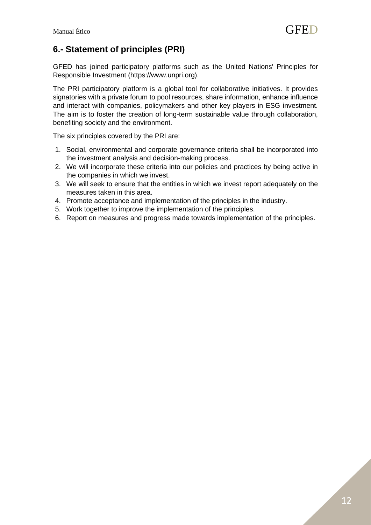Manual Ético  $\mathbf{GFED}$ 

# <span id="page-13-0"></span>**6.- Statement of principles (PRI)**

GFED has joined participatory platforms such as the United Nations' Principles for Responsible Investment (https://www.unpri.org).

The PRI participatory platform is a global tool for collaborative initiatives. It provides signatories with a private forum to pool resources, share information, enhance influence and interact with companies, policymakers and other key players in ESG investment. The aim is to foster the creation of long-term sustainable value through collaboration, benefiting society and the environment.

The six principles covered by the PRI are:

- 1. Social, environmental and corporate governance criteria shall be incorporated into the investment analysis and decision-making process.
- 2. We will incorporate these criteria into our policies and practices by being active in the companies in which we invest.
- 3. We will seek to ensure that the entities in which we invest report adequately on the measures taken in this area.
- 4. Promote acceptance and implementation of the principles in the industry.
- 5. Work together to improve the implementation of the principles.
- 6. Report on measures and progress made towards implementation of the principles.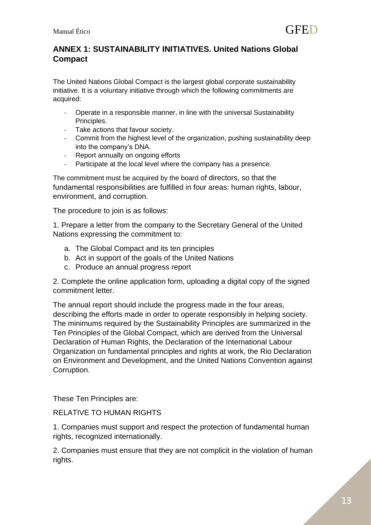# <span id="page-14-0"></span>**ANNEX 1: SUSTAINABILITY INITIATIVES. United Nations Global Compact**

The United Nations Global Compact is the largest global corporate sustainability initiative. It is a voluntary initiative through which the following commitments are acquired:

- Operate in a responsible manner, in line with the universal Sustainability Principles.
- Take actions that favour society.
- Commit from the highest level of the organization, pushing sustainability deep into the company's DNA.
- Report annually on ongoing efforts
- Participate at the local level where the company has a presence.

The commitment must be acquired by the board of directors, so that the fundamental responsibilities are fulfilled in four areas: human rights, labour, environment, and corruption.

The procedure to join is as follows:

1. Prepare a letter from the company to the Secretary General of the United Nations expressing the commitment to:

- a. The Global Compact and its ten principles
- b. Act in support of the goals of the United Nations
- c. Produce an annual progress report

2. Complete the online application form, uploading a digital copy of the signed commitment letter.

The annual report should include the progress made in the four areas, describing the efforts made in order to operate responsibly in helping society. The minimums required by the Sustainability Principles are summarized in the Ten Principles of the Global Compact, which are derived from the Universal Declaration of Human Rights, the Declaration of the International Labour Organization on fundamental principles and rights at work, the Rio Declaration on Environment and Development, and the United Nations Convention against Corruption.

These Ten Principles are:

#### RELATIVE TO HUMAN RIGHTS

1. Companies must support and respect the protection of fundamental human rights, recognized internationally.

2. Companies must ensure that they are not complicit in the violation of human rights.